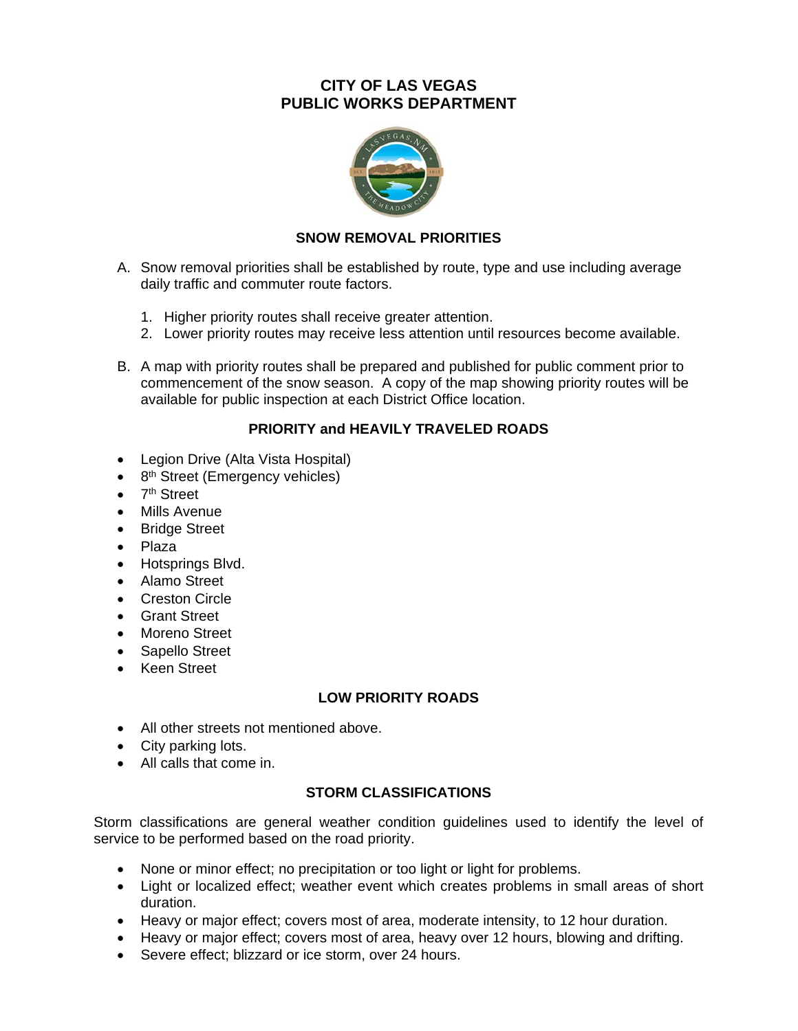## **CITY OF LAS VEGAS PUBLIC WORKS DEPARTMENT**



### **SNOW REMOVAL PRIORITIES**

- A. Snow removal priorities shall be established by route, type and use including average daily traffic and commuter route factors.
	- 1. Higher priority routes shall receive greater attention.
	- 2. Lower priority routes may receive less attention until resources become available.
- B. A map with priority routes shall be prepared and published for public comment prior to commencement of the snow season. A copy of the map showing priority routes will be available for public inspection at each District Office location.

## **PRIORITY and HEAVILY TRAVELED ROADS**

- Legion Drive (Alta Vista Hospital)
- $\bullet$  8<sup>th</sup> Street (Emergency vehicles)
- $\bullet$  7<sup>th</sup> Street
- Mills Avenue
- Bridge Street
- Plaza
- Hotsprings Blvd.
- Alamo Street
- **Creston Circle**
- Grant Street
- Moreno Street
- Sapello Street
- Keen Street

#### **LOW PRIORITY ROADS**

- All other streets not mentioned above.
- City parking lots.
- All calls that come in.

#### **STORM CLASSIFICATIONS**

Storm classifications are general weather condition guidelines used to identify the level of service to be performed based on the road priority.

- None or minor effect; no precipitation or too light or light for problems.
- Light or localized effect; weather event which creates problems in small areas of short duration.
- Heavy or major effect; covers most of area, moderate intensity, to 12 hour duration.
- Heavy or major effect; covers most of area, heavy over 12 hours, blowing and drifting.
- Severe effect; blizzard or ice storm, over 24 hours.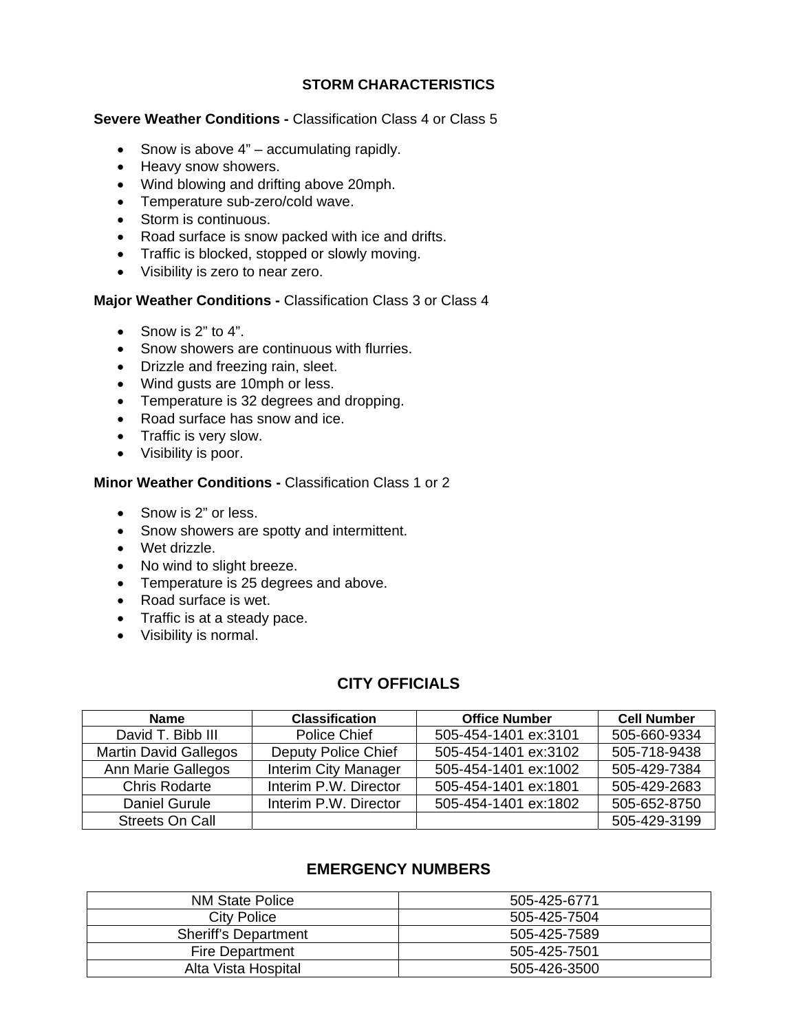## **STORM CHARACTERISTICS**

#### **Severe Weather Conditions - Classification Class 4 or Class 5**

- Snow is above  $4"$  accumulating rapidly.
- Heavy snow showers.
- Wind blowing and drifting above 20mph.
- Temperature sub-zero/cold wave.
- Storm is continuous.
- Road surface is snow packed with ice and drifts.
- Traffic is blocked, stopped or slowly moving.
- Visibility is zero to near zero.

#### **Major Weather Conditions -** Classification Class 3 or Class 4

- $\bullet$  Snow is 2" to 4".
- Snow showers are continuous with flurries.
- Drizzle and freezing rain, sleet.
- Wind gusts are 10mph or less.
- Temperature is 32 degrees and dropping.
- Road surface has snow and ice.
- Traffic is very slow.
- Visibility is poor.

#### **Minor Weather Conditions -** Classification Class 1 or 2

- Snow is 2" or less.
- Snow showers are spotty and intermittent.
- Wet drizzle.
- No wind to slight breeze.
- Temperature is 25 degrees and above.
- Road surface is wet.
- Traffic is at a steady pace.
- Visibility is normal.

## **CITY OFFICIALS**

| <b>Name</b>                  | <b>Classification</b>       | <b>Office Number</b> | <b>Cell Number</b> |
|------------------------------|-----------------------------|----------------------|--------------------|
| David T. Bibb III            | Police Chief                | 505-454-1401 ex:3101 | 505-660-9334       |
| <b>Martin David Gallegos</b> | Deputy Police Chief         | 505-454-1401 ex:3102 | 505-718-9438       |
| Ann Marie Gallegos           | <b>Interim City Manager</b> | 505-454-1401 ex:1002 | 505-429-7384       |
| <b>Chris Rodarte</b>         | Interim P.W. Director       | 505-454-1401 ex:1801 | 505-429-2683       |
| Daniel Gurule                | Interim P.W. Director       | 505-454-1401 ex:1802 | 505-652-8750       |
| Streets On Call              |                             |                      | 505-429-3199       |

# **EMERGENCY NUMBERS**

| <b>NM State Police</b>      | 505-425-6771 |  |
|-----------------------------|--------------|--|
| City Police                 | 505-425-7504 |  |
| <b>Sheriff's Department</b> | 505-425-7589 |  |
| Fire Department             | 505-425-7501 |  |
| Alta Vista Hospital         | 505-426-3500 |  |